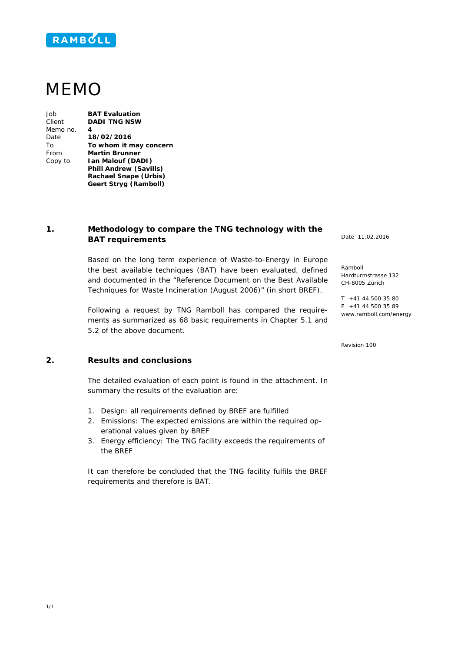

## MEMO

Job **BAT Evaluation** Client **DADI TNG NSW** Memo no. **4** Date **18/02/2016** To **To whom it may concern** From **Martin Brunner** Copy to **Ian Malouf (DADI) Phill Andrew (Savills) Rachael Snape (Urbis) Geert Stryg (Ramboll)**

## **1. Methodology to compare the TNG technology with the BAT requirements**

Based on the long term experience of Waste-to-Energy in Europe the best available techniques (BAT) have been evaluated, defined and documented in the "Reference Document on the Best Available Techniques for Waste Incineration (August 2006)" (in short BREF).

Following a request by TNG Ramboll has compared the requirements as summarized as 68 basic requirements in Chapter 5.1 and 5.2 of the above document.

Date 11.02.2016

Ramboll Hardturmstrasse 132 CH-8005 Zürich

T +41 44 500 35 80 F +41 44 500 35 89 www.ramboll.com/energy

Revision 100

## **2. Results and conclusions**

The detailed evaluation of each point is found in the attachment. In summary the results of the evaluation are:

- 1. Design: all requirements defined by BREF are fulfilled
- 2. Emissions: The expected emissions are within the required operational values given by BREF
- 3. Energy efficiency: The TNG facility exceeds the requirements of the BREF

It can therefore be concluded that the TNG facility fulfils the BREF requirements and therefore is BAT.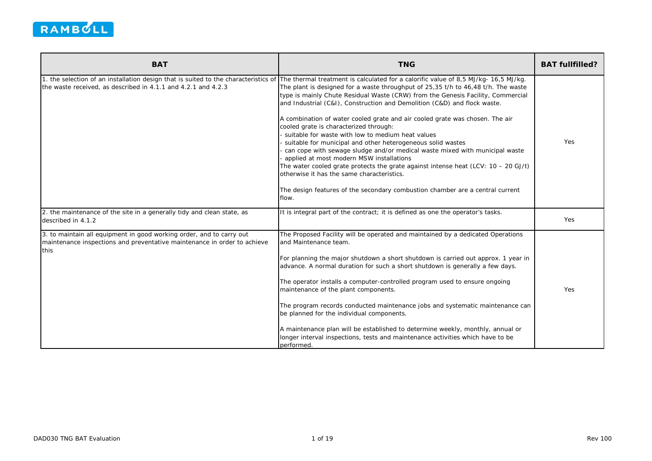

| <b>BAT</b>                                                                                                                                               | <b>TNG</b>                                                                                                                                                                                                                                                                                                                                                                                                                                                                                                                                                                                                                                                                                                                                                                                                                                                                                                                                       | <b>BAT fullfilled?</b> |
|----------------------------------------------------------------------------------------------------------------------------------------------------------|--------------------------------------------------------------------------------------------------------------------------------------------------------------------------------------------------------------------------------------------------------------------------------------------------------------------------------------------------------------------------------------------------------------------------------------------------------------------------------------------------------------------------------------------------------------------------------------------------------------------------------------------------------------------------------------------------------------------------------------------------------------------------------------------------------------------------------------------------------------------------------------------------------------------------------------------------|------------------------|
| 1. the selection of an installation design that is suited to the characteristics of<br>the waste received, as described in 4.1.1 and 4.2.1 and 4.2.3     | The thermal treatment is calculated for a calorific value of 8,5 MJ/kg- 16,5 MJ/kg.<br>The plant is designed for a waste throughput of 25,35 t/h to 46,48 t/h. The waste<br>type is mainly Chute Residual Waste (CRW) from the Genesis Facility, Commercial<br>and Industrial (C&I), Construction and Demolition (C&D) and flock waste.<br>A combination of water cooled grate and air cooled grate was chosen. The air<br>cooled grate is characterized through:<br>suitable for waste with low to medium heat values<br>suitable for municipal and other heterogeneous solid wastes<br>can cope with sewage sludge and/or medical waste mixed with municipal waste<br>applied at most modern MSW installations<br>The water cooled grate protects the grate against intense heat (LCV: $10 - 20$ GJ/t)<br>otherwise it has the same characteristics.<br>The design features of the secondary combustion chamber are a central current<br>flow. | Yes                    |
| 2. the maintenance of the site in a generally tidy and clean state, as<br>described in 4.1.2                                                             | It is integral part of the contract; it is defined as one the operator's tasks.                                                                                                                                                                                                                                                                                                                                                                                                                                                                                                                                                                                                                                                                                                                                                                                                                                                                  | Yes                    |
| 3. to maintain all equipment in good working order, and to carry out<br>maintenance inspections and preventative maintenance in order to achieve<br>this | The Proposed Facility will be operated and maintained by a dedicated Operations<br>and Maintenance team.<br>For planning the major shutdown a short shutdown is carried out approx. 1 year in<br>advance. A normal duration for such a short shutdown is generally a few days.<br>The operator installs a computer-controlled program used to ensure ongoing<br>maintenance of the plant components.<br>The program records conducted maintenance jobs and systematic maintenance can<br>be planned for the individual components.<br>A maintenance plan will be established to determine weekly, monthly, annual or<br>longer interval inspections, tests and maintenance activities which have to be<br>performed.                                                                                                                                                                                                                             | Yes                    |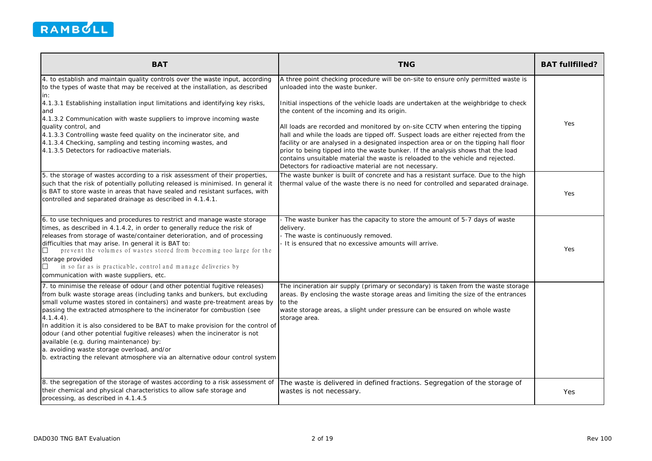

| <b>BAT</b>                                                                                                                                                                                                                                                                                                                                                                                                                                                                                                                                                                                                                                                                  | <b>TNG</b>                                                                                                                                                                                                                                                                                                                                                                                                                                                                                                                                                                                                                                                                                                                                                    | <b>BAT fullfilled?</b> |
|-----------------------------------------------------------------------------------------------------------------------------------------------------------------------------------------------------------------------------------------------------------------------------------------------------------------------------------------------------------------------------------------------------------------------------------------------------------------------------------------------------------------------------------------------------------------------------------------------------------------------------------------------------------------------------|---------------------------------------------------------------------------------------------------------------------------------------------------------------------------------------------------------------------------------------------------------------------------------------------------------------------------------------------------------------------------------------------------------------------------------------------------------------------------------------------------------------------------------------------------------------------------------------------------------------------------------------------------------------------------------------------------------------------------------------------------------------|------------------------|
| 4. to establish and maintain quality controls over the waste input, according<br>to the types of waste that may be received at the installation, as described<br>lin:<br>4.1.3.1 Establishing installation input limitations and identifying key risks,<br>and<br>4.1.3.2 Communication with waste suppliers to improve incoming waste<br>quality control, and<br>4.1.3.3 Controlling waste feed quality on the incinerator site, and<br>4.1.3.4 Checking, sampling and testing incoming wastes, and<br>4.1.3.5 Detectors for radioactive materials.                                                                                                                        | A three point checking procedure will be on-site to ensure only permitted waste is<br>unloaded into the waste bunker.<br>Initial inspections of the vehicle loads are undertaken at the weighbridge to check<br>the content of the incoming and its origin.<br>All loads are recorded and monitored by on-site CCTV when entering the tipping<br>hall and while the loads are tipped off. Suspect loads are either rejected from the<br>facility or are analysed in a designated inspection area or on the tipping hall floor<br>prior to being tipped into the waste bunker. If the analysis shows that the load<br>contains unsuitable material the waste is reloaded to the vehicle and rejected.<br>Detectors for radioactive material are not necessary. | Yes                    |
| 5. the storage of wastes according to a risk assessment of their properties,<br>such that the risk of potentially polluting released is minimised. In general it<br>is BAT to store waste in areas that have sealed and resistant surfaces, with<br>controlled and separated drainage as described in 4.1.4.1.                                                                                                                                                                                                                                                                                                                                                              | The waste bunker is built of concrete and has a resistant surface. Due to the high<br>thermal value of the waste there is no need for controlled and separated drainage.                                                                                                                                                                                                                                                                                                                                                                                                                                                                                                                                                                                      | Yes                    |
| 6. to use techniques and procedures to restrict and manage waste storage<br>times, as described in 4.1.4.2, in order to generally reduce the risk of<br>releases from storage of waste/container deterioration, and of processing<br>difficulties that may arise. In general it is BAT to:<br>prevent the volumes of wastes stored from becoming too large for the<br>storage provided<br>in so far as is practicable, control and manage deliveries by<br>communication with waste suppliers, etc.                                                                                                                                                                         | The waste bunker has the capacity to store the amount of 5-7 days of waste<br>delivery.<br>The waste is continuously removed.<br>It is ensured that no excessive amounts will arrive.                                                                                                                                                                                                                                                                                                                                                                                                                                                                                                                                                                         | Yes                    |
| 7. to minimise the release of odour (and other potential fugitive releases)<br>from bulk waste storage areas (including tanks and bunkers, but excluding<br>small volume wastes stored in containers) and waste pre-treatment areas by<br>passing the extracted atmosphere to the incinerator for combustion (see<br>$4.1.4.4$ .<br>In addition it is also considered to be BAT to make provision for the control of<br>odour (and other potential fugitive releases) when the incinerator is not<br>available (e.g. during maintenance) by:<br>a. avoiding waste storage overload, and/or<br>b. extracting the relevant atmosphere via an alternative odour control system | The incineration air supply (primary or secondary) is taken from the waste storage<br>areas. By enclosing the waste storage areas and limiting the size of the entrances<br>to the<br>waste storage areas, a slight under pressure can be ensured on whole waste<br>storage area.                                                                                                                                                                                                                                                                                                                                                                                                                                                                             |                        |
| 8. the segregation of the storage of wastes according to a risk assessment of<br>their chemical and physical characteristics to allow safe storage and<br>processing, as described in 4.1.4.5                                                                                                                                                                                                                                                                                                                                                                                                                                                                               | The waste is delivered in defined fractions. Segregation of the storage of<br>wastes is not necessary.                                                                                                                                                                                                                                                                                                                                                                                                                                                                                                                                                                                                                                                        | Yes                    |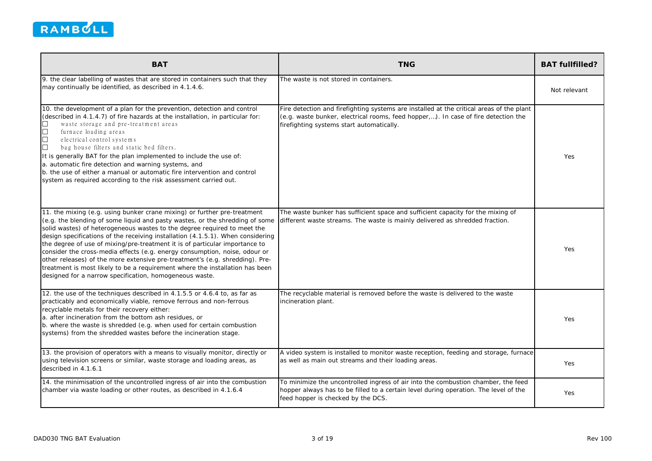

| <b>BAT</b>                                                                                                                                                                                                                                                                                                                                                                                                                                                                                                                                                                                                                                                                                                      | <b>TNG</b>                                                                                                                                                                                                                  | <b>BAT fullfilled?</b> |
|-----------------------------------------------------------------------------------------------------------------------------------------------------------------------------------------------------------------------------------------------------------------------------------------------------------------------------------------------------------------------------------------------------------------------------------------------------------------------------------------------------------------------------------------------------------------------------------------------------------------------------------------------------------------------------------------------------------------|-----------------------------------------------------------------------------------------------------------------------------------------------------------------------------------------------------------------------------|------------------------|
| 9. the clear labelling of wastes that are stored in containers such that they<br>may continually be identified, as described in 4.1.4.6.                                                                                                                                                                                                                                                                                                                                                                                                                                                                                                                                                                        | The waste is not stored in containers.                                                                                                                                                                                      | Not relevant           |
| 10. the development of a plan for the prevention, detection and control<br>(described in 4.1.4.7) of fire hazards at the installation, in particular for:<br>waste storage and pre-treatment areas<br>$\Box$<br>$\Box$<br>furnace loading areas<br>问<br>electrical control systems<br>$\Box$<br>bag house filters and static bed filters.<br>It is generally BAT for the plan implemented to include the use of:<br>a. automatic fire detection and warning systems, and<br>b. the use of either a manual or automatic fire intervention and control<br>system as required according to the risk assessment carried out.                                                                                        | Fire detection and firefighting systems are installed at the critical areas of the plant<br>(e.g. waste bunker, electrical rooms, feed hopper,). In case of fire detection the<br>firefighting systems start automatically. | Yes                    |
| 11. the mixing (e.g. using bunker crane mixing) or further pre-treatment<br>(e.g. the blending of some liquid and pasty wastes, or the shredding of some<br>solid wastes) of heterogeneous wastes to the degree required to meet the<br>design specifications of the receiving installation (4.1.5.1). When considering<br>the degree of use of mixing/pre-treatment it is of particular importance to<br>consider the cross-media effects (e.g. energy consumption, noise, odour or<br>other releases) of the more extensive pre-treatment's (e.g. shredding). Pre-<br>treatment is most likely to be a requirement where the installation has been<br>designed for a narrow specification, homogeneous waste. | The waste bunker has sufficient space and sufficient capacity for the mixing of<br>different waste streams. The waste is mainly delivered as shredded fraction.                                                             | Yes                    |
| 12. the use of the techniques described in 4.1.5.5 or 4.6.4 to, as far as<br>practicably and economically viable, remove ferrous and non-ferrous<br>recyclable metals for their recovery either:<br>a. after incineration from the bottom ash residues, or<br>b. where the waste is shredded (e.g. when used for certain combustion<br>systems) from the shredded wastes before the incineration stage.                                                                                                                                                                                                                                                                                                         | The recyclable material is removed before the waste is delivered to the waste<br>incineration plant.                                                                                                                        | Yes                    |
| 13. the provision of operators with a means to visually monitor, directly or<br>using television screens or similar, waste storage and loading areas, as<br>described in 4.1.6.1                                                                                                                                                                                                                                                                                                                                                                                                                                                                                                                                | A video system is installed to monitor waste reception, feeding and storage, furnace<br>as well as main out streams and their loading areas.                                                                                | <b>Yes</b>             |
| 14. the minimisation of the uncontrolled ingress of air into the combustion<br>chamber via waste loading or other routes, as described in 4.1.6.4                                                                                                                                                                                                                                                                                                                                                                                                                                                                                                                                                               | To minimize the uncontrolled ingress of air into the combustion chamber, the feed<br>hopper always has to be filled to a certain level during operation. The level of the<br>feed hopper is checked by the DCS.             | Yes                    |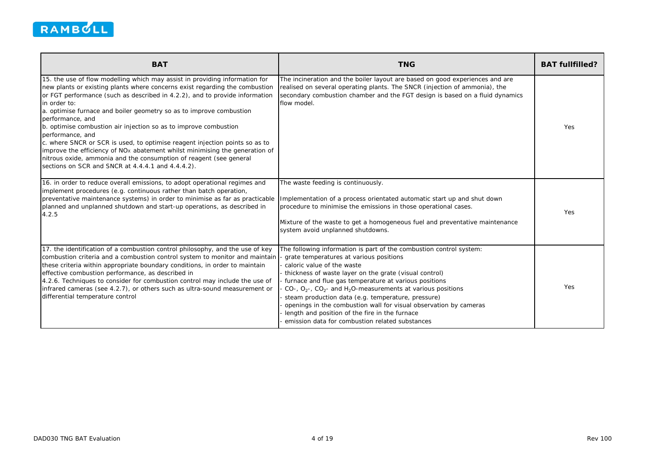

| <b>BAT</b>                                                                                                                                                                                                                                                                                                                                                                                                                                                                                                                                                                                                                                                                                                                                        | <b>TNG</b>                                                                                                                                                                                                                                                                                                                                                                                                                                                                                                                                                                                | <b>BAT fullfilled?</b> |
|---------------------------------------------------------------------------------------------------------------------------------------------------------------------------------------------------------------------------------------------------------------------------------------------------------------------------------------------------------------------------------------------------------------------------------------------------------------------------------------------------------------------------------------------------------------------------------------------------------------------------------------------------------------------------------------------------------------------------------------------------|-------------------------------------------------------------------------------------------------------------------------------------------------------------------------------------------------------------------------------------------------------------------------------------------------------------------------------------------------------------------------------------------------------------------------------------------------------------------------------------------------------------------------------------------------------------------------------------------|------------------------|
| 15. the use of flow modelling which may assist in providing information for<br>new plants or existing plants where concerns exist regarding the combustion<br>or FGT performance (such as described in 4.2.2), and to provide information<br>in order to:<br>a. optimise furnace and boiler geometry so as to improve combustion<br>performance, and<br>b. optimise combustion air injection so as to improve combustion<br>performance, and<br>c. where SNCR or SCR is used, to optimise reagent injection points so as to<br>improve the efficiency of NO <sub>x</sub> abatement whilst minimising the generation of<br>nitrous oxide, ammonia and the consumption of reagent (see general<br>sections on SCR and SNCR at 4.4.4.1 and 4.4.4.2). | The incineration and the boiler layout are based on good experiences and are<br>realised on several operating plants. The SNCR (injection of ammonia), the<br>secondary combustion chamber and the FGT design is based on a fluid dynamics<br>flow model.                                                                                                                                                                                                                                                                                                                                 | Yes                    |
| 16. in order to reduce overall emissions, to adopt operational regimes and<br>implement procedures (e.g. continuous rather than batch operation,<br>preventative maintenance systems) in order to minimise as far as practicable<br>planned and unplanned shutdown and start-up operations, as described in<br>4.2.5                                                                                                                                                                                                                                                                                                                                                                                                                              | The waste feeding is continuously.<br>Implementation of a process orientated automatic start up and shut down<br>procedure to minimise the emissions in those operational cases.<br>Mixture of the waste to get a homogeneous fuel and preventative maintenance<br>system avoid unplanned shutdowns.                                                                                                                                                                                                                                                                                      | Yes                    |
| 17. the identification of a combustion control philosophy, and the use of key<br>combustion criteria and a combustion control system to monitor and maintain<br>these criteria within appropriate boundary conditions, in order to maintain<br>effective combustion performance, as described in<br>4.2.6. Techniques to consider for combustion control may include the use of<br>infrared cameras (see 4.2.7), or others such as ultra-sound measurement or<br>differential temperature control                                                                                                                                                                                                                                                 | The following information is part of the combustion control system:<br>grate temperatures at various positions<br>caloric value of the waste<br>thickness of waste layer on the grate (visual control)<br>furnace and flue gas temperature at various positions<br>CO-, $O_2$ -, CO <sub>2</sub> - and H <sub>2</sub> O-measurements at various positions<br>steam production data (e.g. temperature, pressure)<br>openings in the combustion wall for visual observation by cameras<br>length and position of the fire in the furnace<br>emission data for combustion related substances | Yes                    |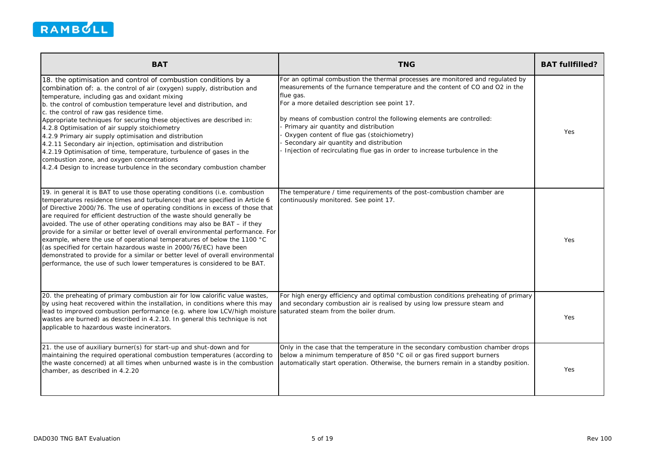

| <b>BAT</b>                                                                                                                                                                                                                                                                                                                                                                                                                                                                                                                                                                                                                                                                                                                                                                                            | <b>TNG</b>                                                                                                                                                                                                                                                                                                                                                                                                                                                                                                            | <b>BAT fullfilled?</b> |
|-------------------------------------------------------------------------------------------------------------------------------------------------------------------------------------------------------------------------------------------------------------------------------------------------------------------------------------------------------------------------------------------------------------------------------------------------------------------------------------------------------------------------------------------------------------------------------------------------------------------------------------------------------------------------------------------------------------------------------------------------------------------------------------------------------|-----------------------------------------------------------------------------------------------------------------------------------------------------------------------------------------------------------------------------------------------------------------------------------------------------------------------------------------------------------------------------------------------------------------------------------------------------------------------------------------------------------------------|------------------------|
| 18. the optimisation and control of combustion conditions by a<br>combination of: a. the control of air (oxygen) supply, distribution and<br>temperature, including gas and oxidant mixing<br>b. the control of combustion temperature level and distribution, and<br>c. the control of raw gas residence time.<br>Appropriate techniques for securing these objectives are described in:<br>4.2.8 Optimisation of air supply stoichiometry<br>4.2.9 Primary air supply optimisation and distribution<br>4.2.11 Secondary air injection, optimisation and distribution<br>4.2.19 Optimisation of time, temperature, turbulence of gases in the<br>combustion zone, and oxygen concentrations<br>4.2.4 Design to increase turbulence in the secondary combustion chamber                               | For an optimal combustion the thermal processes are monitored and regulated by<br>measurements of the furnance temperature and the content of CO and O2 in the<br>flue gas.<br>For a more detailed description see point 17.<br>by means of combustion control the following elements are controlled:<br>Primary air quantity and distribution<br>Oxygen content of flue gas (stoichiometry)<br>Secondary air quantity and distribution<br>Injection of recirculating flue gas in order to increase turbulence in the | Yes                    |
| 19. in general it is BAT to use those operating conditions (i.e. combustion<br>temperatures residence times and turbulence) that are specified in Article 6<br>of Directive 2000/76. The use of operating conditions in excess of those that<br>are required for efficient destruction of the waste should generally be<br>avoided. The use of other operating conditions may also be BAT – if they<br>provide for a similar or better level of overall environmental performance. For<br>example, where the use of operational temperatures of below the 1100 °C<br>(as specified for certain hazardous waste in 2000/76/EC) have been<br>demonstrated to provide for a similar or better level of overall environmental<br>performance, the use of such lower temperatures is considered to be BAT. | The temperature / time requirements of the post-combustion chamber are<br>continuously monitored. See point 17.                                                                                                                                                                                                                                                                                                                                                                                                       | Yes                    |
| 20. the preheating of primary combustion air for low calorific value wastes,<br>by using heat recovered within the installation, in conditions where this may<br>lead to improved combustion performance (e.g. where low LCV/high moisture<br>wastes are burned) as described in 4.2.10. In general this technique is not<br>applicable to hazardous waste incinerators.                                                                                                                                                                                                                                                                                                                                                                                                                              | For high energy efficiency and optimal combustion conditions preheating of primary<br>and secondary combustion air is realised by using low pressure steam and<br>saturated steam from the boiler drum.                                                                                                                                                                                                                                                                                                               | Yes                    |
| 21. the use of auxiliary burner(s) for start-up and shut-down and for<br>maintaining the required operational combustion temperatures (according to<br>the waste concerned) at all times when unburned waste is in the combustion<br>chamber, as described in 4.2.20                                                                                                                                                                                                                                                                                                                                                                                                                                                                                                                                  | Only in the case that the temperature in the secondary combustion chamber drops<br>below a minimum temperature of 850 °C oil or gas fired support burners<br>automatically start operation. Otherwise, the burners remain in a standby position.                                                                                                                                                                                                                                                                      | Yes                    |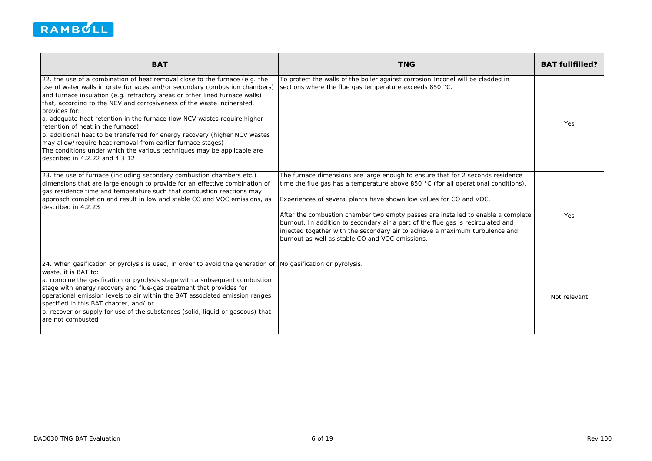

| <b>BAT</b>                                                                                                                                                                                                                                                                                                                                                                                                                                                                                                                                                                                                                                                                                                      | <b>TNG</b>                                                                                                                                                                                                                                                                                                                                                                                                                                                                                                                                                       | <b>BAT fullfilled?</b> |
|-----------------------------------------------------------------------------------------------------------------------------------------------------------------------------------------------------------------------------------------------------------------------------------------------------------------------------------------------------------------------------------------------------------------------------------------------------------------------------------------------------------------------------------------------------------------------------------------------------------------------------------------------------------------------------------------------------------------|------------------------------------------------------------------------------------------------------------------------------------------------------------------------------------------------------------------------------------------------------------------------------------------------------------------------------------------------------------------------------------------------------------------------------------------------------------------------------------------------------------------------------------------------------------------|------------------------|
| 22. the use of a combination of heat removal close to the furnace (e.g. the<br>use of water walls in grate furnaces and/or secondary combustion chambers)<br>and furnace insulation (e.g. refractory areas or other lined furnace walls)<br>that, according to the NCV and corrosiveness of the waste incinerated,<br>provides for:<br>a. adequate heat retention in the furnace (low NCV wastes require higher<br>retention of heat in the furnace)<br>b. additional heat to be transferred for energy recovery (higher NCV wastes<br>may allow/require heat removal from earlier furnace stages)<br>The conditions under which the various techniques may be applicable are<br>described in 4.2.22 and 4.3.12 | To protect the walls of the boiler against corrosion Inconel will be cladded in<br>sections where the flue gas temperature exceeds 850 °C.                                                                                                                                                                                                                                                                                                                                                                                                                       | <b>Yes</b>             |
| 23. the use of furnace (including secondary combustion chambers etc.)<br>dimensions that are large enough to provide for an effective combination of<br>gas residence time and temperature such that combustion reactions may<br>approach completion and result in low and stable CO and VOC emissions, as<br>described in 4.2.23                                                                                                                                                                                                                                                                                                                                                                               | The furnace dimensions are large enough to ensure that for 2 seconds residence<br>time the flue gas has a temperature above 850 $^{\circ}$ C (for all operational conditions).<br>Experiences of several plants have shown low values for CO and VOC.<br>After the combustion chamber two empty passes are installed to enable a complete<br>burnout. In addition to secondary air a part of the flue gas is recirculated and<br>injected together with the secondary air to achieve a maximum turbulence and<br>burnout as well as stable CO and VOC emissions. | Yes                    |
| 24. When gasification or pyrolysis is used, in order to avoid the generation of<br>waste, it is BAT to:<br>a. combine the gasification or pyrolysis stage with a subsequent combustion<br>stage with energy recovery and flue-gas treatment that provides for<br>operational emission levels to air within the BAT associated emission ranges<br>specified in this BAT chapter, and/ or<br>b. recover or supply for use of the substances (solid, liquid or gaseous) that<br>are not combusted                                                                                                                                                                                                                  | No gasification or pyrolysis.                                                                                                                                                                                                                                                                                                                                                                                                                                                                                                                                    | Not relevant           |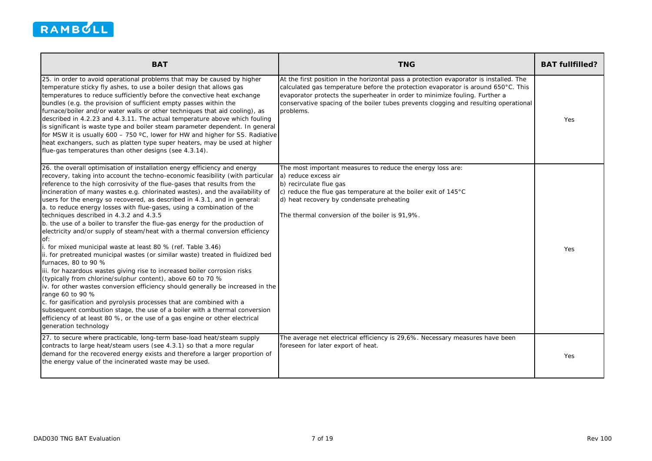

| <b>BAT</b>                                                                                                                                                                                                                                                                                                                                                                                                                                                                                                                                                                                                                                                                                                                                                                                                                                                                                                                                                                                                                                                                                                                                                                                                                                                                                                                                                                                     | <b>TNG</b>                                                                                                                                                                                                                                                                                                                                                                | <b>BAT fullfilled?</b> |
|------------------------------------------------------------------------------------------------------------------------------------------------------------------------------------------------------------------------------------------------------------------------------------------------------------------------------------------------------------------------------------------------------------------------------------------------------------------------------------------------------------------------------------------------------------------------------------------------------------------------------------------------------------------------------------------------------------------------------------------------------------------------------------------------------------------------------------------------------------------------------------------------------------------------------------------------------------------------------------------------------------------------------------------------------------------------------------------------------------------------------------------------------------------------------------------------------------------------------------------------------------------------------------------------------------------------------------------------------------------------------------------------|---------------------------------------------------------------------------------------------------------------------------------------------------------------------------------------------------------------------------------------------------------------------------------------------------------------------------------------------------------------------------|------------------------|
| 25. in order to avoid operational problems that may be caused by higher<br>temperature sticky fly ashes, to use a boiler design that allows gas<br>temperatures to reduce sufficiently before the convective heat exchange<br>bundles (e.g. the provision of sufficient empty passes within the<br>furnace/boiler and/or water walls or other techniques that aid cooling), as<br>described in 4.2.23 and 4.3.11. The actual temperature above which fouling<br>is significant is waste type and boiler steam parameter dependent. In general<br>for MSW it is usually 600 - 750 °C, lower for HW and higher for SS. Radiative<br>heat exchangers, such as platten type super heaters, may be used at higher<br>flue-gas temperatures than other designs (see 4.3.14).                                                                                                                                                                                                                                                                                                                                                                                                                                                                                                                                                                                                                         | At the first position in the horizontal pass a protection evaporator is installed. The<br>calculated gas temperature before the protection evaporator is around $650^{\circ}$ C. This<br>evaporator protects the superheater in order to minimize fouling. Further a<br>conservative spacing of the boiler tubes prevents clogging and resulting operational<br>problems. | Yes                    |
| 26. the overall optimisation of installation energy efficiency and energy<br>recovery, taking into account the techno-economic feasibility (with particular<br>reference to the high corrosivity of the flue-gases that results from the<br>incineration of many wastes e.g. chlorinated wastes), and the availability of<br>users for the energy so recovered, as described in 4.3.1, and in general:<br>a. to reduce energy losses with flue-gases, using a combination of the<br>techniques described in 4.3.2 and 4.3.5<br>b. the use of a boiler to transfer the flue-gas energy for the production of<br>electricity and/or supply of steam/heat with a thermal conversion efficiency<br>Of:<br>i. for mixed municipal waste at least 80 % (ref. Table 3.46)<br>ii. for pretreated municipal wastes (or similar waste) treated in fluidized bed<br>furnaces, 80 to 90 %<br>iii. for hazardous wastes giving rise to increased boiler corrosion risks<br>(typically from chlorine/sulphur content), above 60 to 70 %<br>iv. for other wastes conversion efficiency should generally be increased in the<br>range 60 to 90 %<br>c. for gasification and pyrolysis processes that are combined with a<br>subsequent combustion stage, the use of a boiler with a thermal conversion<br>efficiency of at least 80 %, or the use of a gas engine or other electrical<br>generation technology | The most important measures to reduce the energy loss are:<br>a) reduce excess air<br>b) recirculate flue gas<br>c) reduce the flue gas temperature at the boiler exit of 145°C<br>d) heat recovery by condensate preheating<br>The thermal conversion of the boiler is 91,9%.                                                                                            | Yes                    |
| 27. to secure where practicable, long-term base-load heat/steam supply<br>contracts to large heat/steam users (see 4.3.1) so that a more regular<br>demand for the recovered energy exists and therefore a larger proportion of<br>the energy value of the incinerated waste may be used.                                                                                                                                                                                                                                                                                                                                                                                                                                                                                                                                                                                                                                                                                                                                                                                                                                                                                                                                                                                                                                                                                                      | The average net electrical efficiency is 29,6%. Necessary measures have been<br>foreseen for later export of heat.                                                                                                                                                                                                                                                        | Yes.                   |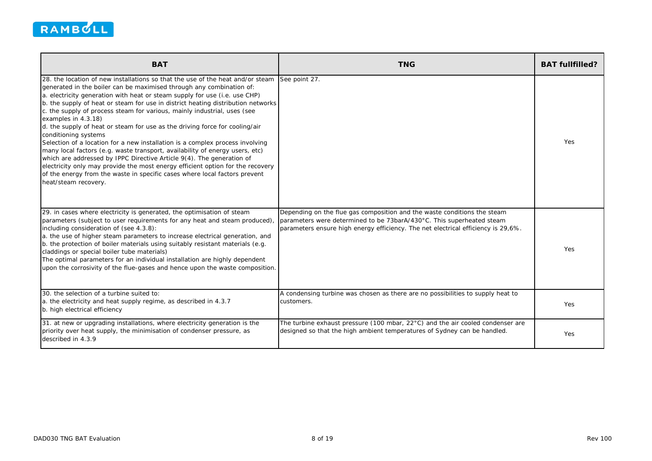

| <b>BAT</b>                                                                                                                                                                                                                                                                                                                                                                                                                                                                                                                                                                                                                                                                                                                                                                                                                                                                                                                                                           | <b>TNG</b>                                                                                                                                                                                                                             | <b>BAT fullfilled?</b> |
|----------------------------------------------------------------------------------------------------------------------------------------------------------------------------------------------------------------------------------------------------------------------------------------------------------------------------------------------------------------------------------------------------------------------------------------------------------------------------------------------------------------------------------------------------------------------------------------------------------------------------------------------------------------------------------------------------------------------------------------------------------------------------------------------------------------------------------------------------------------------------------------------------------------------------------------------------------------------|----------------------------------------------------------------------------------------------------------------------------------------------------------------------------------------------------------------------------------------|------------------------|
| 28. the location of new installations so that the use of the heat and/or steam<br>generated in the boiler can be maximised through any combination of:<br>a. electricity generation with heat or steam supply for use (i.e. use CHP)<br>b. the supply of heat or steam for use in district heating distribution networks<br>c. the supply of process steam for various, mainly industrial, uses (see<br>examples in 4.3.18)<br>d. the supply of heat or steam for use as the driving force for cooling/air<br>conditioning systems<br>Selection of a location for a new installation is a complex process involving<br>many local factors (e.g. waste transport, availability of energy users, etc)<br>which are addressed by IPPC Directive Article 9(4). The generation of<br>electricity only may provide the most energy efficient option for the recovery<br>of the energy from the waste in specific cases where local factors prevent<br>heat/steam recovery. | See point 27.                                                                                                                                                                                                                          | <b>Yes</b>             |
| 29. in cases where electricity is generated, the optimisation of steam<br>parameters (subject to user requirements for any heat and steam produced),<br>including consideration of (see 4.3.8):<br>a. the use of higher steam parameters to increase electrical generation, and<br>b. the protection of boiler materials using suitably resistant materials (e.g.<br>claddings or special boiler tube materials)<br>The optimal parameters for an individual installation are highly dependent<br>upon the corrosivity of the flue-gases and hence upon the waste composition.                                                                                                                                                                                                                                                                                                                                                                                       | Depending on the flue gas composition and the waste conditions the steam<br>parameters were determined to be 73barA/430°C. This superheated steam<br>parameters ensure high energy efficiency. The net electrical efficiency is 29,6%. | Yes                    |
| 30. the selection of a turbine suited to:<br>a. the electricity and heat supply regime, as described in 4.3.7<br>b. high electrical efficiency                                                                                                                                                                                                                                                                                                                                                                                                                                                                                                                                                                                                                                                                                                                                                                                                                       | A condensing turbine was chosen as there are no possibilities to supply heat to<br>customers.                                                                                                                                          | Yes                    |
| 31. at new or upgrading installations, where electricity generation is the<br>priority over heat supply, the minimisation of condenser pressure, as<br>described in 4.3.9                                                                                                                                                                                                                                                                                                                                                                                                                                                                                                                                                                                                                                                                                                                                                                                            | The turbine exhaust pressure (100 mbar, $22^{\circ}$ C) and the air cooled condenser are<br>designed so that the high ambient temperatures of Sydney can be handled.                                                                   | Yes                    |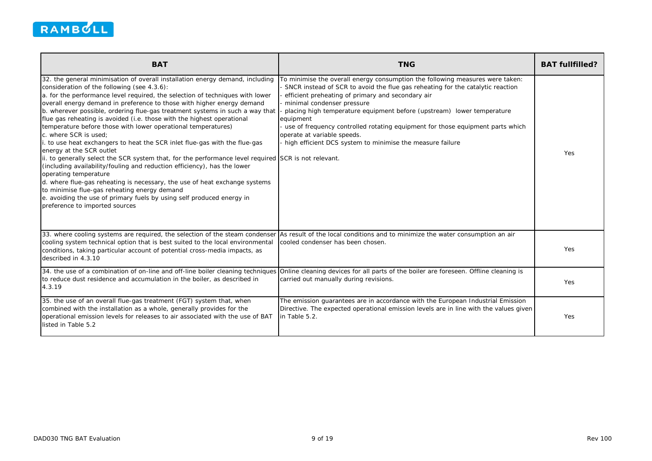

| <b>BAT</b>                                                                                                                                                                                                                                                                                                                                                                                                                                                                                                                                                                                                                                                                                                                                                                                                                                                                                                                                                                                                                                                                                               | <b>TNG</b>                                                                                                                                                                                                                                                                                                                                                                                                                                                                                                              | <b>BAT fullfilled?</b> |
|----------------------------------------------------------------------------------------------------------------------------------------------------------------------------------------------------------------------------------------------------------------------------------------------------------------------------------------------------------------------------------------------------------------------------------------------------------------------------------------------------------------------------------------------------------------------------------------------------------------------------------------------------------------------------------------------------------------------------------------------------------------------------------------------------------------------------------------------------------------------------------------------------------------------------------------------------------------------------------------------------------------------------------------------------------------------------------------------------------|-------------------------------------------------------------------------------------------------------------------------------------------------------------------------------------------------------------------------------------------------------------------------------------------------------------------------------------------------------------------------------------------------------------------------------------------------------------------------------------------------------------------------|------------------------|
| 32. the general minimisation of overall installation energy demand, including<br>consideration of the following (see 4.3.6):<br>a. for the performance level required, the selection of techniques with lower<br>overall energy demand in preference to those with higher energy demand<br>b. wherever possible, ordering flue-gas treatment systems in such a way that<br>flue gas reheating is avoided (i.e. those with the highest operational<br>temperature before those with lower operational temperatures)<br>c. where SCR is used:<br>to use heat exchangers to heat the SCR inlet flue-gas with the flue-gas<br>energy at the SCR outlet<br>ii. to generally select the SCR system that, for the performance level required SCR is not relevant.<br>(including availability/fouling and reduction efficiency), has the lower<br>operating temperature<br>d. where flue-gas reheating is necessary, the use of heat exchange systems<br>to minimise flue-gas reheating energy demand<br>e. avoiding the use of primary fuels by using self produced energy in<br>preference to imported sources | To minimise the overall energy consumption the following measures were taken:<br>SNCR instead of SCR to avoid the flue gas reheating for the catalytic reaction<br>efficient preheating of primary and secondary air<br>minimal condenser pressure<br>placing high temperature equipment before (upstream) lower temperature<br>equipment<br>use of frequency controlled rotating equipment for those equipment parts which<br>operate at variable speeds.<br>high efficient DCS system to minimise the measure failure | Yes                    |
| 33. where cooling systems are required, the selection of the steam condenser<br>cooling system technical option that is best suited to the local environmental<br>conditions, taking particular account of potential cross-media impacts, as<br>described in 4.3.10                                                                                                                                                                                                                                                                                                                                                                                                                                                                                                                                                                                                                                                                                                                                                                                                                                      | As result of the local conditions and to minimize the water consumption an air<br>cooled condenser has been chosen.                                                                                                                                                                                                                                                                                                                                                                                                     | Yes                    |
| 34. the use of a combination of on-line and off-line boiler cleaning techniques<br>to reduce dust residence and accumulation in the boiler, as described in<br>4.3.19                                                                                                                                                                                                                                                                                                                                                                                                                                                                                                                                                                                                                                                                                                                                                                                                                                                                                                                                    | Online cleaning devices for all parts of the boiler are foreseen. Offline cleaning is<br>carried out manually during revisions.                                                                                                                                                                                                                                                                                                                                                                                         | <b>Yes</b>             |
| 35. the use of an overall flue-gas treatment (FGT) system that, when<br>combined with the installation as a whole, generally provides for the<br>operational emission levels for releases to air associated with the use of BAT<br>listed in Table 5.2                                                                                                                                                                                                                                                                                                                                                                                                                                                                                                                                                                                                                                                                                                                                                                                                                                                   | The emission guarantees are in accordance with the European Industrial Emission<br>Directive. The expected operational emission levels are in line with the values given<br>in Table 5.2.                                                                                                                                                                                                                                                                                                                               | Yes                    |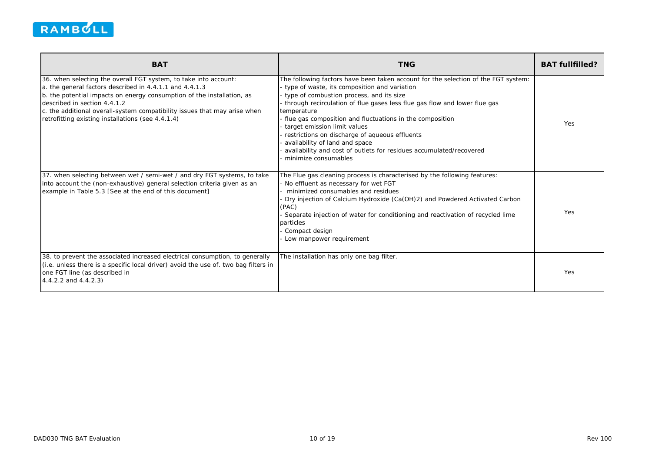

| <b>BAT</b>                                                                                                                                                                                                                                                                                                                                                              | <b>TNG</b>                                                                                                                                                                                                                                                                                                                                                                                                                                                                                                                                                | <b>BAT fullfilled?</b> |
|-------------------------------------------------------------------------------------------------------------------------------------------------------------------------------------------------------------------------------------------------------------------------------------------------------------------------------------------------------------------------|-----------------------------------------------------------------------------------------------------------------------------------------------------------------------------------------------------------------------------------------------------------------------------------------------------------------------------------------------------------------------------------------------------------------------------------------------------------------------------------------------------------------------------------------------------------|------------------------|
| 36. when selecting the overall FGT system, to take into account:<br>a. the general factors described in 4.4.1.1 and 4.4.1.3<br>b. the potential impacts on energy consumption of the installation, as<br>described in section 4.4.1.2<br>c. the additional overall-system compatibility issues that may arise when<br>retrofitting existing installations (see 4.4.1.4) | The following factors have been taken account for the selection of the FGT system:<br>type of waste, its composition and variation<br>type of combustion process, and its size<br>through recirculation of flue gases less flue gas flow and lower flue gas<br>temperature<br>flue gas composition and fluctuations in the composition<br>target emission limit values<br>restrictions on discharge of aqueous effluents<br>availability of land and space<br>availability and cost of outlets for residues accumulated/recovered<br>minimize consumables | Yes                    |
| 37. when selecting between wet / semi-wet / and dry FGT systems, to take<br>into account the (non-exhaustive) general selection criteria given as an<br>example in Table 5.3 [See at the end of this document]                                                                                                                                                          | The Flue gas cleaning process is characterised by the following features:<br>No effluent as necessary for wet FGT<br>minimized consumables and residues<br>Dry injection of Calcium Hydroxide (Ca(OH)2) and Powdered Activated Carbon<br>(PAC)<br>Separate injection of water for conditioning and reactivation of recycled lime<br>particles<br>Compact design<br>Low manpower requirement                                                                                                                                                               | Yes                    |
| 38. to prevent the associated increased electrical consumption, to generally<br>(i.e. unless there is a specific local driver) avoid the use of. two bag filters in<br>one FGT line (as described in<br>4.4.2.2 and 4.4.2.3)                                                                                                                                            | The installation has only one bag filter.                                                                                                                                                                                                                                                                                                                                                                                                                                                                                                                 | Yes                    |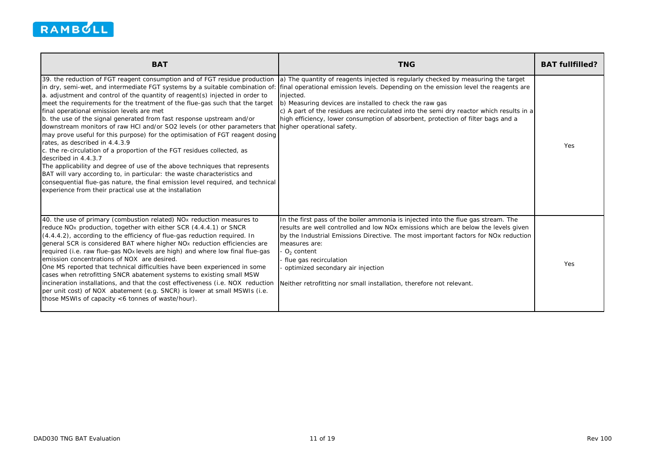

| <b>BAT</b>                                                                                                                                                                                                                                                                                                                                                                                                                                                                                                                                                                                                                                                                                                                                                                                                                                                                                                                                                                                               | <b>TNG</b>                                                                                                                                                                                                                                                                                                                                                                                                                                                                                                   | <b>BAT fullfilled?</b> |
|----------------------------------------------------------------------------------------------------------------------------------------------------------------------------------------------------------------------------------------------------------------------------------------------------------------------------------------------------------------------------------------------------------------------------------------------------------------------------------------------------------------------------------------------------------------------------------------------------------------------------------------------------------------------------------------------------------------------------------------------------------------------------------------------------------------------------------------------------------------------------------------------------------------------------------------------------------------------------------------------------------|--------------------------------------------------------------------------------------------------------------------------------------------------------------------------------------------------------------------------------------------------------------------------------------------------------------------------------------------------------------------------------------------------------------------------------------------------------------------------------------------------------------|------------------------|
| 39. the reduction of FGT reagent consumption and of FGT residue production<br>a. adjustment and control of the quantity of reagent(s) injected in order to<br>meet the requirements for the treatment of the flue-gas such that the target<br>final operational emission levels are met<br>b. the use of the signal generated from fast response upstream and/or<br>downstream monitors of raw HCl and/or SO2 levels (or other parameters that higher operational safety.<br>may prove useful for this purpose) for the optimisation of FGT reagent dosing<br>rates, as described in 4.4.3.9<br>c. the re-circulation of a proportion of the FGT residues collected, as<br>described in 4.4.3.7<br>The applicability and degree of use of the above techniques that represents<br>BAT will vary according to, in particular: the waste characteristics and<br>consequential flue-gas nature, the final emission level required, and technical<br>experience from their practical use at the installation | a) The quantity of reagents injected is regularly checked by measuring the target<br>in dry, semi-wet, and intermediate FGT systems by a suitable combination of: final operational emission levels. Depending on the emission level the reagents are<br>injected.<br>b) Measuring devices are installed to check the raw gas<br>c) A part of the residues are recirculated into the semi dry reactor which results in a<br>high efficiency, lower consumption of absorbent, protection of filter bags and a | Yes                    |
| 40. the use of primary (combustion related) NO <sub>x</sub> reduction measures to<br>reduce NO <sub>x</sub> production, together with either SCR (4.4.4.1) or SNCR<br>(4.4.4.2), according to the efficiency of flue-gas reduction required. In<br>general SCR is considered BAT where higher NO <sub>x</sub> reduction efficiencies are<br>required (i.e. raw flue-gas NO <sub>x</sub> levels are high) and where low final flue-gas<br>emission concentrations of NOX are desired.<br>One MS reported that technical difficulties have been experienced in some<br>cases when retrofitting SNCR abatement systems to existing small MSW<br>incineration installations, and that the cost effectiveness (i.e. NOX reduction<br>per unit cost) of NOX abatement (e.g. SNCR) is lower at small MSWIs (i.e.<br>those MSWIs of capacity <6 tonnes of waste/hour).                                                                                                                                           | In the first pass of the boiler ammonia is injected into the flue gas stream. The<br>results are well controlled and low NO <sub>x</sub> emissions which are below the levels given<br>by the Industrial Emissions Directive. The most important factors for NOx reduction<br>measures are:<br>$O2$ content<br>flue gas recirculation<br>optimized secondary air injection<br>Neither retrofitting nor small installation, therefore not relevant.                                                           | Yes                    |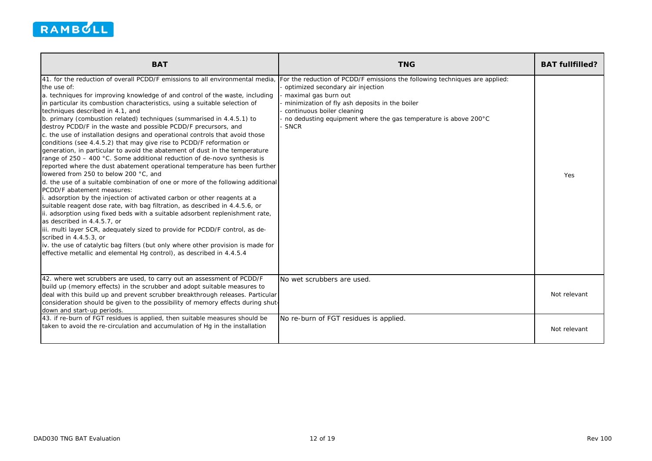

| <b>BAT</b>                                                                                                                                                                                                                                                                                                                                                                                                                                                                                                                                                                                                                                                                                                                                                                                                                                                                                                                                                                                                                                                                                                                                                                                                                                                                                                                                                                                                                                                                                                                                                | <b>TNG</b>                                                                                                                                                                                                                                                                                          | <b>BAT fullfilled?</b> |
|-----------------------------------------------------------------------------------------------------------------------------------------------------------------------------------------------------------------------------------------------------------------------------------------------------------------------------------------------------------------------------------------------------------------------------------------------------------------------------------------------------------------------------------------------------------------------------------------------------------------------------------------------------------------------------------------------------------------------------------------------------------------------------------------------------------------------------------------------------------------------------------------------------------------------------------------------------------------------------------------------------------------------------------------------------------------------------------------------------------------------------------------------------------------------------------------------------------------------------------------------------------------------------------------------------------------------------------------------------------------------------------------------------------------------------------------------------------------------------------------------------------------------------------------------------------|-----------------------------------------------------------------------------------------------------------------------------------------------------------------------------------------------------------------------------------------------------------------------------------------------------|------------------------|
| 41. for the reduction of overall PCDD/F emissions to all environmental media.<br>the use of:<br>a. techniques for improving knowledge of and control of the waste, including<br>in particular its combustion characteristics, using a suitable selection of<br>techniques described in 4.1, and<br>b. primary (combustion related) techniques (summarised in 4.4.5.1) to<br>destroy PCDD/F in the waste and possible PCDD/F precursors, and<br>c. the use of installation designs and operational controls that avoid those<br>conditions (see 4.4.5.2) that may give rise to PCDD/F reformation or<br>generation, in particular to avoid the abatement of dust in the temperature<br>range of 250 - 400 °C. Some additional reduction of de-novo synthesis is<br>reported where the dust abatement operational temperature has been further<br>lowered from 250 to below 200 °C, and<br>d. the use of a suitable combination of one or more of the following additional<br>PCDD/F abatement measures:<br>. adsorption by the injection of activated carbon or other reagents at a<br>suitable reagent dose rate, with bag filtration, as described in 4.4.5.6, or<br>ii. adsorption using fixed beds with a suitable adsorbent replenishment rate,<br>as described in 4.4.5.7, or<br>iii. multi layer SCR, adequately sized to provide for PCDD/F control, as de-<br>scribed in 4.4.5.3, or<br>iv. the use of catalytic bag filters (but only where other provision is made for<br>effective metallic and elemental Hg control), as described in 4.4.5.4 | For the reduction of PCDD/F emissions the following techniques are applied:<br>optimized secondary air injection<br>maximal gas burn out<br>minimization of fly ash deposits in the boiler<br>continuous boiler cleaning<br>no dedusting equipment where the gas temperature is above 200°C<br>SNCR | Yes                    |
| 42. where wet scrubbers are used, to carry out an assessment of PCDD/F<br>build up (memory effects) in the scrubber and adopt suitable measures to<br>deal with this build up and prevent scrubber breakthrough releases. Particular<br>consideration should be given to the possibility of memory effects during shut-<br>down and start-up periods.                                                                                                                                                                                                                                                                                                                                                                                                                                                                                                                                                                                                                                                                                                                                                                                                                                                                                                                                                                                                                                                                                                                                                                                                     | No wet scrubbers are used.                                                                                                                                                                                                                                                                          | Not relevant           |
| 43. if re-burn of FGT residues is applied, then suitable measures should be<br>taken to avoid the re-circulation and accumulation of Hg in the installation                                                                                                                                                                                                                                                                                                                                                                                                                                                                                                                                                                                                                                                                                                                                                                                                                                                                                                                                                                                                                                                                                                                                                                                                                                                                                                                                                                                               | No re-burn of FGT residues is applied.                                                                                                                                                                                                                                                              | Not relevant           |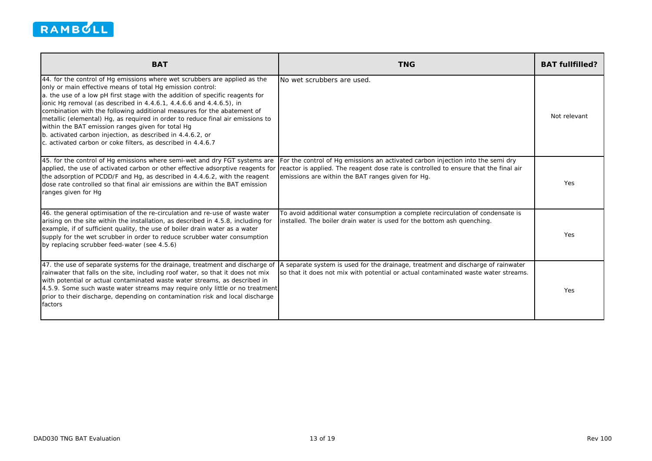

| <b>BAT</b>                                                                                                                                                                                                                                                                                                                                                                                                                                                                                                                                                                                                                                       | <b>TNG</b>                                                                                                                                                                                                                   | <b>BAT fullfilled?</b> |
|--------------------------------------------------------------------------------------------------------------------------------------------------------------------------------------------------------------------------------------------------------------------------------------------------------------------------------------------------------------------------------------------------------------------------------------------------------------------------------------------------------------------------------------------------------------------------------------------------------------------------------------------------|------------------------------------------------------------------------------------------------------------------------------------------------------------------------------------------------------------------------------|------------------------|
| 44. for the control of Hg emissions where wet scrubbers are applied as the<br>only or main effective means of total Hg emission control:<br>a. the use of a low pH first stage with the addition of specific reagents for<br>ionic Hg removal (as described in 4.4.6.1, 4.4.6.6 and 4.4.6.5), in<br>combination with the following additional measures for the abatement of<br>metallic (elemental) Hg, as required in order to reduce final air emissions to<br>within the BAT emission ranges given for total Hg<br>b. activated carbon injection, as described in 4.4.6.2, or<br>c. activated carbon or coke filters, as described in 4.4.6.7 | No wet scrubbers are used.                                                                                                                                                                                                   | Not relevant           |
| 45. for the control of Hg emissions where semi-wet and dry FGT systems are<br>applied, the use of activated carbon or other effective adsorptive reagents for<br>the adsorption of PCDD/F and Hg, as described in 4.4.6.2, with the reagent<br>dose rate controlled so that final air emissions are within the BAT emission<br>ranges given for Hg                                                                                                                                                                                                                                                                                               | For the control of Hg emissions an activated carbon injection into the semi dry<br>reactor is applied. The reagent dose rate is controlled to ensure that the final air<br>emissions are within the BAT ranges given for Hg. | Yes                    |
| 46. the general optimisation of the re-circulation and re-use of waste water<br>arising on the site within the installation, as described in 4.5.8, including for<br>example, if of sufficient quality, the use of boiler drain water as a water<br>supply for the wet scrubber in order to reduce scrubber water consumption<br>by replacing scrubber feed-water (see 4.5.6)                                                                                                                                                                                                                                                                    | To avoid additional water consumption a complete recirculation of condensate is<br>installed. The boiler drain water is used for the bottom ash quenching.                                                                   | Yes                    |
| 47. the use of separate systems for the drainage, treatment and discharge of<br>rainwater that falls on the site, including roof water, so that it does not mix<br>with potential or actual contaminated waste water streams, as described in<br>4.5.9. Some such waste water streams may require only little or no treatment<br>prior to their discharge, depending on contamination risk and local discharge<br>factors                                                                                                                                                                                                                        | A separate system is used for the drainage, treatment and discharge of rainwater<br>so that it does not mix with potential or actual contaminated waste water streams.                                                       | Yes                    |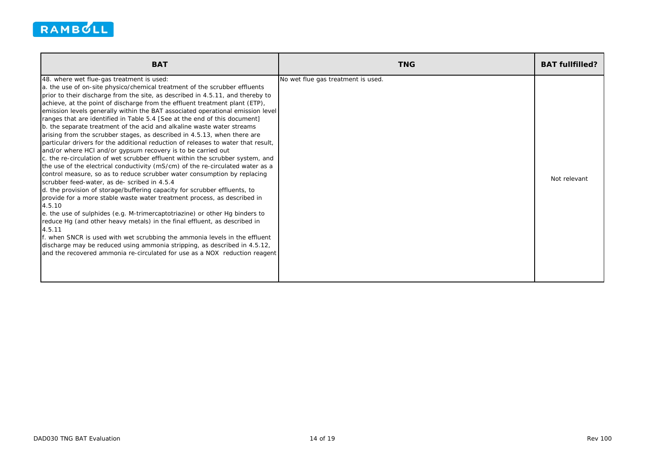

| <b>BAT</b>                                                                                                                                                                                                                                                                                                                                                                                                                                                                                                                                                                                                                                                                                                                                                                                                                                                                                                                                                                                                                                                                                                                                                                                                                                                                                                                                                                                                                                                                                                                                                                                                                                            | <b>TNG</b>                         | <b>BAT fullfilled?</b> |
|-------------------------------------------------------------------------------------------------------------------------------------------------------------------------------------------------------------------------------------------------------------------------------------------------------------------------------------------------------------------------------------------------------------------------------------------------------------------------------------------------------------------------------------------------------------------------------------------------------------------------------------------------------------------------------------------------------------------------------------------------------------------------------------------------------------------------------------------------------------------------------------------------------------------------------------------------------------------------------------------------------------------------------------------------------------------------------------------------------------------------------------------------------------------------------------------------------------------------------------------------------------------------------------------------------------------------------------------------------------------------------------------------------------------------------------------------------------------------------------------------------------------------------------------------------------------------------------------------------------------------------------------------------|------------------------------------|------------------------|
| 48. where wet flue-gas treatment is used:<br>a. the use of on-site physico/chemical treatment of the scrubber effluents<br>prior to their discharge from the site, as described in 4.5.11, and thereby to<br>achieve, at the point of discharge from the effluent treatment plant (ETP),<br>emission levels generally within the BAT associated operational emission level<br>ranges that are identified in Table 5.4 [See at the end of this document]<br>b. the separate treatment of the acid and alkaline waste water streams<br>arising from the scrubber stages, as described in 4.5.13, when there are<br>Iparticular drivers for the additional reduction of releases to water that result.<br>and/or where HCI and/or gypsum recovery is to be carried out<br>c. the re-circulation of wet scrubber effluent within the scrubber system, and<br>the use of the electrical conductivity (mS/cm) of the re-circulated water as a<br>control measure, so as to reduce scrubber water consumption by replacing<br>scrubber feed-water, as de- scribed in 4.5.4<br>d. the provision of storage/buffering capacity for scrubber effluents, to<br>provide for a more stable waste water treatment process, as described in<br>4.5.10<br>e. the use of sulphides (e.g. M-trimercaptotriazine) or other Hg binders to<br>reduce Hg (and other heavy metals) in the final effluent, as described in<br>4.5.11<br>f. when SNCR is used with wet scrubbing the ammonia levels in the effluent<br>discharge may be reduced using ammonia stripping, as described in 4.5.12,<br>and the recovered ammonia re-circulated for use as a NOX reduction reagent | No wet flue gas treatment is used. | Not relevant           |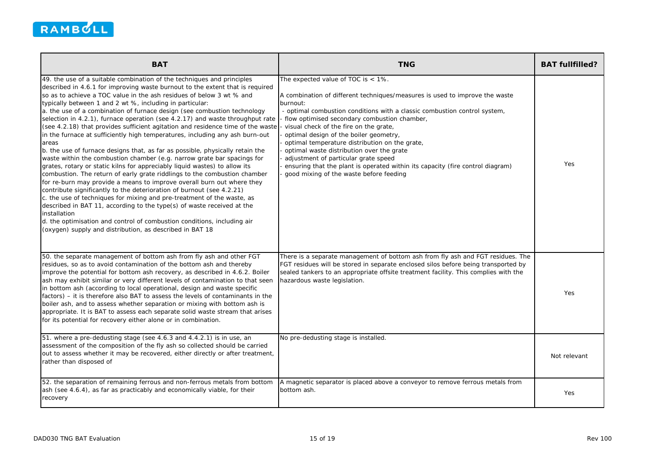

| <b>BAT</b>                                                                                                                                                                                                                                                                                                                                                                                                                                                                                                                                                                                                                                                                                                                                                                                                                                                                                                                                                                                                                                                                                                                                                                                                                                                                                                                                                                                                                | <b>TNG</b>                                                                                                                                                                                                                                                                                                                                                                                                                                                                                                                                                                                                             | <b>BAT fullfilled?</b> |
|---------------------------------------------------------------------------------------------------------------------------------------------------------------------------------------------------------------------------------------------------------------------------------------------------------------------------------------------------------------------------------------------------------------------------------------------------------------------------------------------------------------------------------------------------------------------------------------------------------------------------------------------------------------------------------------------------------------------------------------------------------------------------------------------------------------------------------------------------------------------------------------------------------------------------------------------------------------------------------------------------------------------------------------------------------------------------------------------------------------------------------------------------------------------------------------------------------------------------------------------------------------------------------------------------------------------------------------------------------------------------------------------------------------------------|------------------------------------------------------------------------------------------------------------------------------------------------------------------------------------------------------------------------------------------------------------------------------------------------------------------------------------------------------------------------------------------------------------------------------------------------------------------------------------------------------------------------------------------------------------------------------------------------------------------------|------------------------|
| 49. the use of a suitable combination of the techniques and principles<br>described in 4.6.1 for improving waste burnout to the extent that is required<br>so as to achieve a TOC value in the ash residues of below 3 wt % and<br>typically between 1 and 2 wt %, including in particular:<br>a. the use of a combination of furnace design (see combustion technology<br>selection in 4.2.1), furnace operation (see 4.2.17) and waste throughput rate<br>(see 4.2.18) that provides sufficient agitation and residence time of the waste<br>in the furnace at sufficiently high temperatures, including any ash burn-out<br>areas<br>b. the use of furnace designs that, as far as possible, physically retain the<br>waste within the combustion chamber (e.g. narrow grate bar spacings for<br>grates, rotary or static kilns for appreciably liquid wastes) to allow its<br>combustion. The return of early grate riddlings to the combustion chamber<br>for re-burn may provide a means to improve overall burn out where they<br>contribute significantly to the deterioration of burnout (see 4.2.21)<br>c. the use of techniques for mixing and pre-treatment of the waste, as<br>described in BAT 11, according to the type(s) of waste received at the<br>installation<br>d. the optimisation and control of combustion conditions, including air<br>(oxygen) supply and distribution, as described in BAT 18 | The expected value of TOC is $<$ 1%.<br>A combination of different techniques/measures is used to improve the waste<br>burnout:<br>- optimal combustion conditions with a classic combustion control system,<br>- flow optimised secondary combustion chamber,<br>visual check of the fire on the grate,<br>optimal design of the boiler geometry,<br>optimal temperature distribution on the grate,<br>optimal waste distribution over the grate<br>adjustment of particular grate speed<br>ensuring that the plant is operated within its capacity (fire control diagram)<br>good mixing of the waste before feeding | Yes                    |
| 50. the separate management of bottom ash from fly ash and other FGT<br>residues, so as to avoid contamination of the bottom ash and thereby<br>improve the potential for bottom ash recovery, as described in 4.6.2. Boiler<br>ash may exhibit similar or very different levels of contamination to that seen<br>in bottom ash (according to local operational, design and waste specific<br>factors) – it is therefore also BAT to assess the levels of contaminants in the<br>boiler ash, and to assess whether separation or mixing with bottom ash is<br>appropriate. It is BAT to assess each separate solid waste stream that arises<br>for its potential for recovery either alone or in combination.                                                                                                                                                                                                                                                                                                                                                                                                                                                                                                                                                                                                                                                                                                             | There is a separate management of bottom ash from fly ash and FGT residues. The<br>FGT residues will be stored in separate enclosed silos before being transported by<br>sealed tankers to an appropriate offsite treatment facility. This complies with the<br>hazardous waste legislation.                                                                                                                                                                                                                                                                                                                           | Yes                    |
| 51. where a pre-dedusting stage (see 4.6.3 and 4.4.2.1) is in use, an<br>assessment of the composition of the fly ash so collected should be carried<br>out to assess whether it may be recovered, either directly or after treatment,<br>rather than disposed of                                                                                                                                                                                                                                                                                                                                                                                                                                                                                                                                                                                                                                                                                                                                                                                                                                                                                                                                                                                                                                                                                                                                                         | No pre-dedusting stage is installed.                                                                                                                                                                                                                                                                                                                                                                                                                                                                                                                                                                                   | Not relevant           |
| 52. the separation of remaining ferrous and non-ferrous metals from bottom<br>ash (see 4.6.4), as far as practicably and economically viable, for their<br>recovery                                                                                                                                                                                                                                                                                                                                                                                                                                                                                                                                                                                                                                                                                                                                                                                                                                                                                                                                                                                                                                                                                                                                                                                                                                                       | A magnetic separator is placed above a conveyor to remove ferrous metals from<br>bottom ash.                                                                                                                                                                                                                                                                                                                                                                                                                                                                                                                           | Yes                    |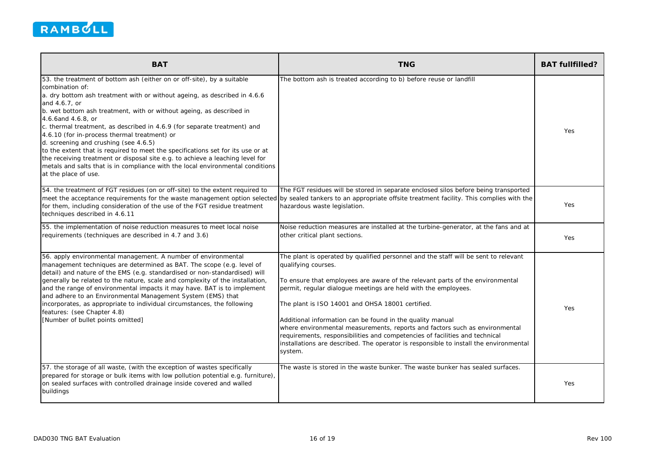

| <b>BAT</b>                                                                                                                                                                                                                                                                                                                                                                                                                                                                                                                                                                                                                                                                                                                               | <b>TNG</b>                                                                                                                                                                                                                                                                                                                                                                                                                                                                                                                                                                                                                                       | <b>BAT fullfilled?</b> |
|------------------------------------------------------------------------------------------------------------------------------------------------------------------------------------------------------------------------------------------------------------------------------------------------------------------------------------------------------------------------------------------------------------------------------------------------------------------------------------------------------------------------------------------------------------------------------------------------------------------------------------------------------------------------------------------------------------------------------------------|--------------------------------------------------------------------------------------------------------------------------------------------------------------------------------------------------------------------------------------------------------------------------------------------------------------------------------------------------------------------------------------------------------------------------------------------------------------------------------------------------------------------------------------------------------------------------------------------------------------------------------------------------|------------------------|
| 53. the treatment of bottom ash (either on or off-site), by a suitable<br>combination of:<br>a. dry bottom ash treatment with or without ageing, as described in 4.6.6<br>and 4.6.7, or<br>b. wet bottom ash treatment, with or without ageing, as described in<br>4.6.6and 4.6.8, or<br>c. thermal treatment, as described in 4.6.9 (for separate treatment) and<br>4.6.10 (for in-process thermal treatment) or<br>d. screening and crushing (see 4.6.5)<br>to the extent that is required to meet the specifications set for its use or at<br>the receiving treatment or disposal site e.g. to achieve a leaching level for<br>metals and salts that is in compliance with the local environmental conditions<br>at the place of use. | The bottom ash is treated according to b) before reuse or landfill                                                                                                                                                                                                                                                                                                                                                                                                                                                                                                                                                                               | Yes                    |
| 54. the treatment of FGT residues (on or off-site) to the extent required to<br>for them, including consideration of the use of the FGT residue treatment<br>techniques described in 4.6.11                                                                                                                                                                                                                                                                                                                                                                                                                                                                                                                                              | The FGT residues will be stored in separate enclosed silos before being transported<br>meet the acceptance requirements for the waste management option selected by sealed tankers to an appropriate offsite treatment facility. This complies with the<br>hazardous waste legislation.                                                                                                                                                                                                                                                                                                                                                          | Yes                    |
| 55. the implementation of noise reduction measures to meet local noise<br>requirements (techniques are described in 4.7 and 3.6)                                                                                                                                                                                                                                                                                                                                                                                                                                                                                                                                                                                                         | Noise reduction measures are installed at the turbine-generator, at the fans and at<br>other critical plant sections.                                                                                                                                                                                                                                                                                                                                                                                                                                                                                                                            | Yes                    |
| 56. apply environmental management. A number of environmental<br>management techniques are determined as BAT. The scope (e.g. level of<br>detail) and nature of the EMS (e.g. standardised or non-standardised) will<br>generally be related to the nature, scale and complexity of the installation,<br>and the range of environmental impacts it may have. BAT is to implement<br>and adhere to an Environmental Management System (EMS) that<br>incorporates, as appropriate to individual circumstances, the following<br>features: (see Chapter 4.8)<br>[Number of bullet points omitted]                                                                                                                                           | The plant is operated by qualified personnel and the staff will be sent to relevant<br>qualifying courses.<br>To ensure that employees are aware of the relevant parts of the environmental<br>permit, regular dialogue meetings are held with the employees.<br>The plant is ISO 14001 and OHSA 18001 certified.<br>Additional information can be found in the quality manual<br>where environmental measurements, reports and factors such as environmental<br>requirements, responsibilities and competencies of facilities and technical<br>installations are described. The operator is responsible to install the environmental<br>system. | Yes                    |
| 57. the storage of all waste, (with the exception of wastes specifically<br>prepared for storage or bulk items with low pollution potential e.g. furniture),<br>on sealed surfaces with controlled drainage inside covered and walled<br>buildings                                                                                                                                                                                                                                                                                                                                                                                                                                                                                       | The waste is stored in the waste bunker. The waste bunker has sealed surfaces.                                                                                                                                                                                                                                                                                                                                                                                                                                                                                                                                                                   | Yes                    |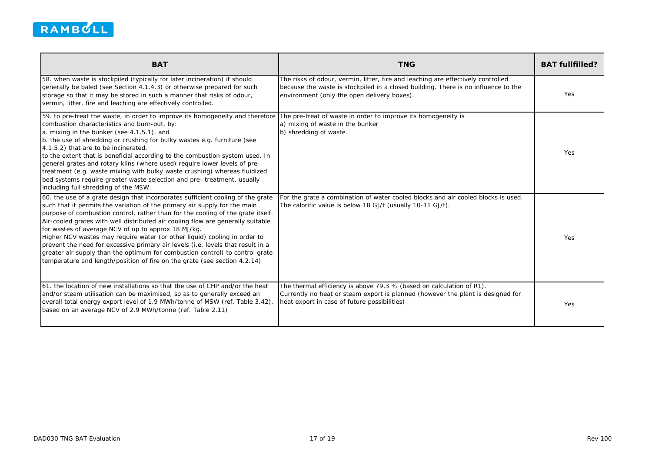

| <b>BAT</b>                                                                                                                                                                                                                                                                                                                                                                                                                                                                                                                                                                                                                                                                                                             | <b>TNG</b>                                                                                                                                                                                                            | <b>BAT fullfilled?</b> |
|------------------------------------------------------------------------------------------------------------------------------------------------------------------------------------------------------------------------------------------------------------------------------------------------------------------------------------------------------------------------------------------------------------------------------------------------------------------------------------------------------------------------------------------------------------------------------------------------------------------------------------------------------------------------------------------------------------------------|-----------------------------------------------------------------------------------------------------------------------------------------------------------------------------------------------------------------------|------------------------|
| 58. when waste is stockpiled (typically for later incineration) it should<br>generally be baled (see Section 4.1.4.3) or otherwise prepared for such<br>storage so that it may be stored in such a manner that risks of odour,<br>vermin, litter, fire and leaching are effectively controlled.                                                                                                                                                                                                                                                                                                                                                                                                                        | The risks of odour, vermin, litter, fire and leaching are effectively controlled<br>because the waste is stockpiled in a closed building. There is no influence to the<br>environment (only the open delivery boxes). | Yes                    |
| 59. to pre-treat the waste, in order to improve its homogeneity and therefore<br>combustion characteristics and burn-out, by:<br>a. mixing in the bunker (see 4.1.5.1), and<br>b. the use of shredding or crushing for bulky wastes e.g. furniture (see<br>4.1.5.2) that are to be incinerated,<br>to the extent that is beneficial according to the combustion system used. In<br>general grates and rotary kilns (where used) require lower levels of pre-<br>treatment (e.g. waste mixing with bulky waste crushing) whereas fluidized<br>bed systems require greater waste selection and pre- treatment, usually<br>including full shredding of the MSW.                                                           | The pre-treat of waste in order to improve its homogeneity is<br>a) mixing of waste in the bunker<br>b) shredding of waste.                                                                                           | Yes.                   |
| 60. the use of a grate design that incorporates sufficient cooling of the grate<br>such that it permits the variation of the primary air supply for the main<br>purpose of combustion control, rather than for the cooling of the grate itself.<br>Air-cooled grates with well distributed air cooling flow are generally suitable<br>for wastes of average NCV of up to approx 18 MJ/kg.<br>Higher NCV wastes may require water (or other liquid) cooling in order to<br>prevent the need for excessive primary air levels (i.e. levels that result in a<br>greater air supply than the optimum for combustion control) to control grate<br>temperature and length/position of fire on the grate (see section 4.2.14) | For the grate a combination of water cooled blocks and air cooled blocks is used.<br>The calorific value is below 18 GJ/t (usually 10-11 GJ/t).                                                                       | Yes                    |
| 61, the location of new installations so that the use of CHP and/or the heat<br>and/or steam utilisation can be maximised, so as to generally exceed an<br>overall total energy export level of 1.9 MWh/tonne of MSW (ref. Table 3.42),<br>based on an average NCV of 2.9 MWh/tonne (ref. Table 2.11)                                                                                                                                                                                                                                                                                                                                                                                                                  | The thermal efficiency is above 79,3 % (based on calculation of R1).<br>Currently no heat or steam export is planned (however the plant is designed for<br>heat export in case of future possibilities)               | Yes                    |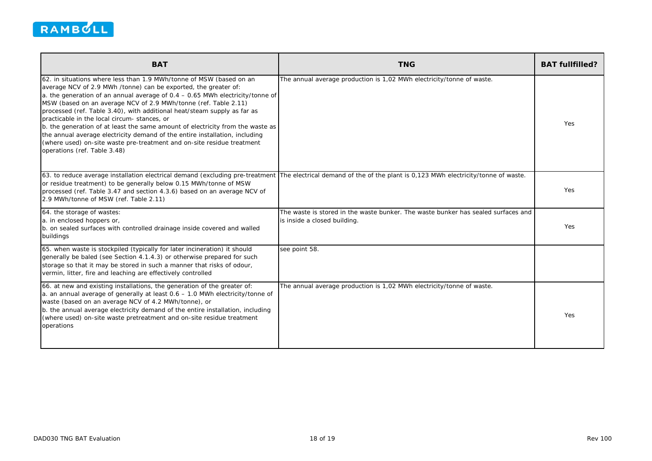

| <b>BAT</b>                                                                                                                                                                                                                                                                                                                                                                                                                                                                                                                                                                                                                                                                                         | <b>TNG</b>                                                                                                        | <b>BAT fullfilled?</b> |
|----------------------------------------------------------------------------------------------------------------------------------------------------------------------------------------------------------------------------------------------------------------------------------------------------------------------------------------------------------------------------------------------------------------------------------------------------------------------------------------------------------------------------------------------------------------------------------------------------------------------------------------------------------------------------------------------------|-------------------------------------------------------------------------------------------------------------------|------------------------|
| 62. in situations where less than 1.9 MWh/tonne of MSW (based on an<br>average NCV of 2.9 MWh /tonne) can be exported, the greater of:<br>a. the generation of an annual average of $0.4 - 0.65$ MWh electricity/tonne of<br>MSW (based on an average NCV of 2.9 MWh/tonne (ref. Table 2.11)<br>processed (ref. Table 3.40), with additional heat/steam supply as far as<br>practicable in the local circum-stances, or<br>b. the generation of at least the same amount of electricity from the waste as<br>the annual average electricity demand of the entire installation, including<br>(where used) on-site waste pre-treatment and on-site residue treatment<br>operations (ref. Table 3.48) | The annual average production is 1,02 MWh electricity/tonne of waste.                                             | Yes                    |
| 63. to reduce average installation electrical demand (excluding pre-treatment<br>or residue treatment) to be generally below 0.15 MWh/tonne of MSW<br>processed (ref. Table 3.47 and section 4.3.6) based on an average NCV of<br>2.9 MWh/tonne of MSW (ref. Table 2.11)                                                                                                                                                                                                                                                                                                                                                                                                                           | The electrical demand of the of the plant is 0,123 MWh electricity/tonne of waste.                                | <b>Yes</b>             |
| 64. the storage of wastes:<br>a. in enclosed hoppers or,<br>b. on sealed surfaces with controlled drainage inside covered and walled<br>buildings                                                                                                                                                                                                                                                                                                                                                                                                                                                                                                                                                  | The waste is stored in the waste bunker. The waste bunker has sealed surfaces and<br>is inside a closed building. | Yes                    |
| 65. when waste is stockpiled (typically for later incineration) it should<br>generally be baled (see Section 4.1.4.3) or otherwise prepared for such<br>storage so that it may be stored in such a manner that risks of odour,<br>vermin, litter, fire and leaching are effectively controlled                                                                                                                                                                                                                                                                                                                                                                                                     | see point 58.                                                                                                     |                        |
| 66. at new and existing installations, the generation of the greater of:<br>a. an annual average of generally at least 0.6 - 1.0 MWh electricity/tonne of<br>waste (based on an average NCV of 4.2 MWh/tonne), or<br>b. the annual average electricity demand of the entire installation, including<br>(where used) on-site waste pretreatment and on-site residue treatment<br>operations                                                                                                                                                                                                                                                                                                         | The annual average production is 1,02 MWh electricity/tonne of waste.                                             | <b>Yes</b>             |